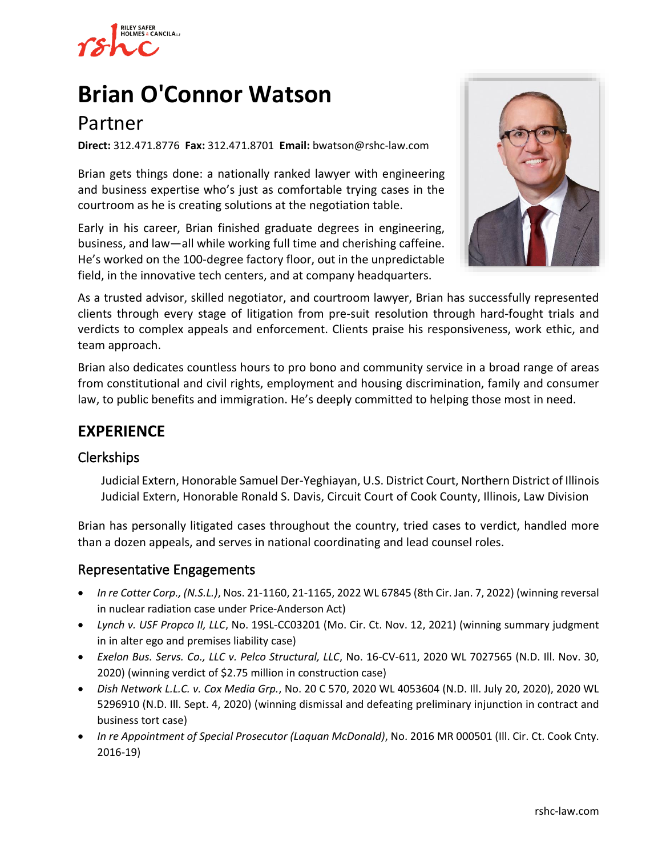

# **[Brian O'Connor Watson](https://www.rshc-law.com/attorneys/attorney/brian-o)**

## Partner

**Direct:** 312.471.8776 **Fax:** 312.471.8701 **Email:** bwatson@rshc-law.com

Brian gets things done: a nationally ranked lawyer with engineering and business expertise who's just as comfortable trying cases in the courtroom as he is creating solutions at the negotiation table.

Early in his career, Brian finished graduate degrees in engineering, business, and law—all while working full time and cherishing caffeine. He's worked on the 100-degree factory floor, out in the unpredictable field, in the innovative tech centers, and at company headquarters.



As a trusted advisor, skilled negotiator, and courtroom lawyer, Brian has successfully represented clients through every stage of litigation from pre-suit resolution through hard-fought trials and verdicts to complex appeals and enforcement. Clients praise his responsiveness, work ethic, and team approach.

Brian also dedicates countless hours to pro bono and community service in a broad range of areas from constitutional and civil rights, employment and housing discrimination, family and consumer law, to public benefits and immigration. He's deeply committed to helping those most in need.

## **EXPERIENCE**

## Clerkships

Judicial Extern, Honorable Samuel Der-Yeghiayan, U.S. District Court, Northern District of Illinois Judicial Extern, Honorable Ronald S. Davis, Circuit Court of Cook County, Illinois, Law Division

Brian has personally litigated cases throughout the country, tried cases to verdict, handled more than a dozen appeals, and serves in national coordinating and lead counsel roles.

## Representative Engagements

- *In re Cotter Corp., (N.S.L.)*, Nos. 21-1160, 21-1165, 2022 WL 67845 (8th Cir. Jan. 7, 2022) (winning reversal in nuclear radiation case under Price-Anderson Act)
- *Lynch v. USF Propco II, LLC*, No. 19SL-CC03201 (Mo. Cir. Ct. Nov. 12, 2021) (winning summary judgment in in alter ego and premises liability case)
- *Exelon Bus. Servs. Co., LLC v. Pelco Structural, LLC*, No. 16-CV-611, 2020 WL 7027565 (N.D. Ill. Nov. 30, 2020) (winning verdict of \$2.75 million in construction case)
- *Dish Network L.L.C. v. Cox Media Grp.*, No. 20 C 570, 2020 WL 4053604 (N.D. Ill. July 20, 2020), 2020 WL 5296910 (N.D. Ill. Sept. 4, 2020) (winning dismissal and defeating preliminary injunction in contract and business tort case)
- *In re Appointment of Special Prosecutor (Laquan McDonald)*, No. 2016 MR 000501 (Ill. Cir. Ct. Cook Cnty. 2016-19)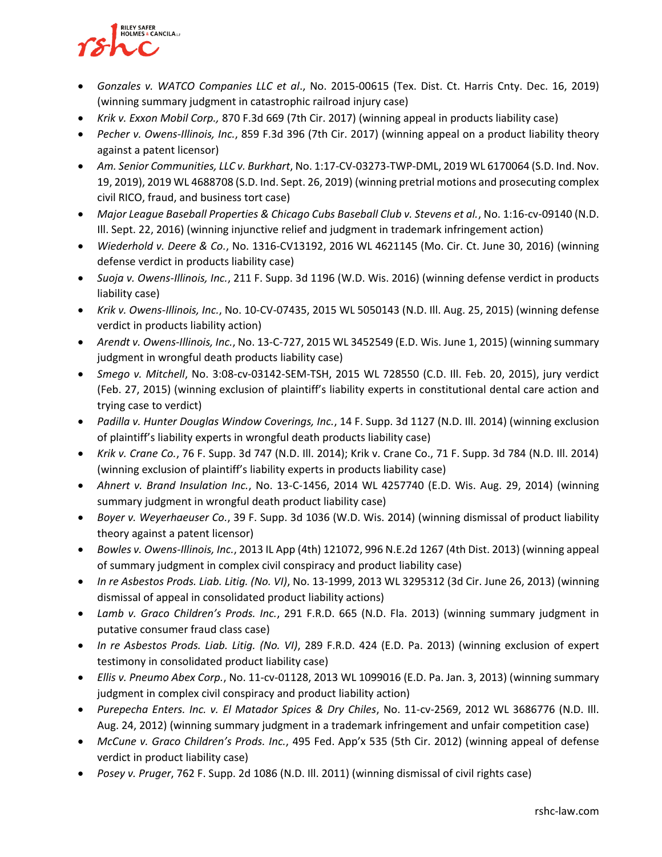# **RILEY SAFER HOLMES & CANCILA**

- *Gonzales v. WATCO Companies LLC et al*., No. 2015-00615 (Tex. Dist. Ct. Harris Cnty. Dec. 16, 2019) (winning summary judgment in catastrophic railroad injury case)
- *Krik v. Exxon Mobil Corp.,* 870 F.3d 669 (7th Cir. 2017) (winning appeal in products liability case)
- *Pecher v. Owens-Illinois, Inc.*, 859 F.3d 396 (7th Cir. 2017) (winning appeal on a product liability theory against a patent licensor)
- *Am. Senior Communities, LLC v. Burkhart*, No. 1:17-CV-03273-TWP-DML, 2019 WL 6170064 (S.D. Ind. Nov. 19, 2019), 2019 WL 4688708 (S.D. Ind. Sept. 26, 2019) (winning pretrial motions and prosecuting complex civil RICO, fraud, and business tort case)
- *Major League Baseball Properties & Chicago Cubs Baseball Club v. Stevens et al.*, No. 1:16-cv-09140 (N.D. Ill. Sept. 22, 2016) (winning injunctive relief and judgment in trademark infringement action)
- *Wiederhold v. Deere & Co.*, No. 1316-CV13192, 2016 WL 4621145 (Mo. Cir. Ct. June 30, 2016) (winning defense verdict in products liability case)
- *Suoja v. Owens-Illinois, Inc.*, 211 F. Supp. 3d 1196 (W.D. Wis. 2016) (winning defense verdict in products liability case)
- *Krik v. Owens-Illinois, Inc.*, No. 10-CV-07435, 2015 WL 5050143 (N.D. Ill. Aug. 25, 2015) (winning defense verdict in products liability action)
- *Arendt v. Owens-Illinois, Inc.*, No. 13-C-727, 2015 WL 3452549 (E.D. Wis. June 1, 2015) (winning summary judgment in wrongful death products liability case)
- *Smego v. Mitchell*, No. 3:08-cv-03142-SEM-TSH, 2015 WL 728550 (C.D. Ill. Feb. 20, 2015), jury verdict (Feb. 27, 2015) (winning exclusion of plaintiff's liability experts in constitutional dental care action and trying case to verdict)
- *Padilla v. Hunter Douglas Window Coverings, Inc.*, 14 F. Supp. 3d 1127 (N.D. Ill. 2014) (winning exclusion of plaintiff's liability experts in wrongful death products liability case)
- *Krik v. Crane Co.*, 76 F. Supp. 3d 747 (N.D. Ill. 2014); Krik v. Crane Co., 71 F. Supp. 3d 784 (N.D. Ill. 2014) (winning exclusion of plaintiff's liability experts in products liability case)
- *Ahnert v. Brand Insulation Inc.*, No. 13-C-1456, 2014 WL 4257740 (E.D. Wis. Aug. 29, 2014) (winning summary judgment in wrongful death product liability case)
- *Boyer v. Weyerhaeuser Co.*, 39 F. Supp. 3d 1036 (W.D. Wis. 2014) (winning dismissal of product liability theory against a patent licensor)
- *Bowles v. Owens-Illinois, Inc.*, 2013 IL App (4th) 121072, 996 N.E.2d 1267 (4th Dist. 2013) (winning appeal of summary judgment in complex civil conspiracy and product liability case)
- *In re Asbestos Prods. Liab. Litig. (No. VI)*, No. 13-1999, 2013 WL 3295312 (3d Cir. June 26, 2013) (winning dismissal of appeal in consolidated product liability actions)
- *Lamb v. Graco Children's Prods. Inc.*, 291 F.R.D. 665 (N.D. Fla. 2013) (winning summary judgment in putative consumer fraud class case)
- *In re Asbestos Prods. Liab. Litig. (No. VI)*, 289 F.R.D. 424 (E.D. Pa. 2013) (winning exclusion of expert testimony in consolidated product liability case)
- *Ellis v. Pneumo Abex Corp.*, No. 11-cv-01128, 2013 WL 1099016 (E.D. Pa. Jan. 3, 2013) (winning summary judgment in complex civil conspiracy and product liability action)
- *Purepecha Enters. Inc. v. El Matador Spices & Dry Chiles*, No. 11-cv-2569, 2012 WL 3686776 (N.D. Ill. Aug. 24, 2012) (winning summary judgment in a trademark infringement and unfair competition case)
- *McCune v. Graco Children's Prods. Inc.*, 495 Fed. App'x 535 (5th Cir. 2012) (winning appeal of defense verdict in product liability case)
- *Posey v. Pruger*, 762 F. Supp. 2d 1086 (N.D. Ill. 2011) (winning dismissal of civil rights case)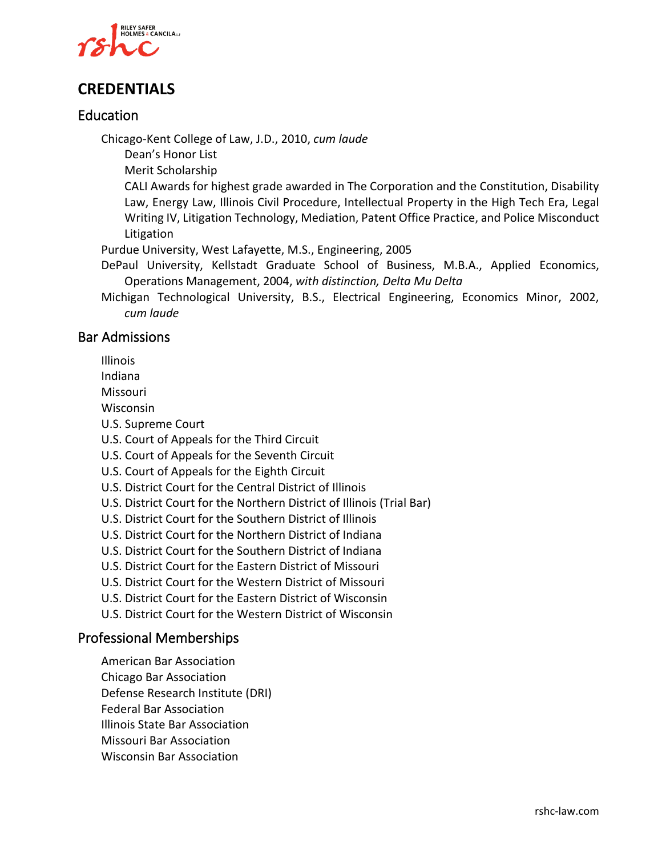

## **CREDENTIALS**

#### Education

Chicago-Kent College of Law, J.D., 2010, *cum laude*

Dean's Honor List

Merit Scholarship

CALI Awards for highest grade awarded in The Corporation and the Constitution, Disability Law, Energy Law, Illinois Civil Procedure, Intellectual Property in the High Tech Era, Legal Writing IV, Litigation Technology, Mediation, Patent Office Practice, and Police Misconduct Litigation

Purdue University, West Lafayette, M.S., Engineering, 2005

DePaul University, Kellstadt Graduate School of Business, M.B.A., Applied Economics, Operations Management, 2004, *with distinction, Delta Mu Delta*

Michigan Technological University, B.S., Electrical Engineering, Economics Minor, 2002, *cum laude*

#### Bar Admissions

Illinois

Indiana

Missouri

Wisconsin

U.S. Supreme Court

U.S. Court of Appeals for the Third Circuit

U.S. Court of Appeals for the Seventh Circuit

U.S. Court of Appeals for the Eighth Circuit

U.S. District Court for the Central District of Illinois

U.S. District Court for the Northern District of Illinois (Trial Bar)

U.S. District Court for the Southern District of Illinois

U.S. District Court for the Northern District of Indiana

U.S. District Court for the Southern District of Indiana

U.S. District Court for the Eastern District of Missouri

U.S. District Court for the Western District of Missouri

U.S. District Court for the Eastern District of Wisconsin

U.S. District Court for the Western District of Wisconsin

#### Professional Memberships

American Bar Association Chicago Bar Association Defense Research Institute (DRI) Federal Bar Association Illinois State Bar Association Missouri Bar Association Wisconsin Bar Association